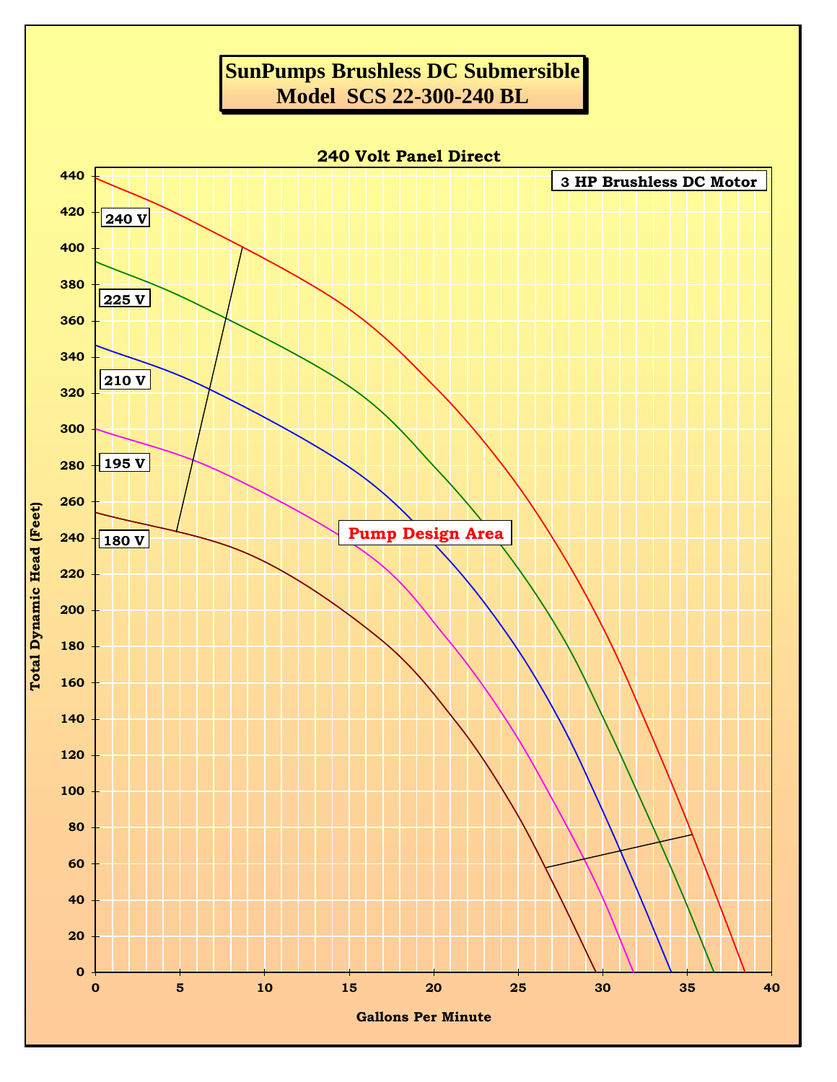## **SunPumps Brushless DC Submersible Model SCS 22-300-240 BL**